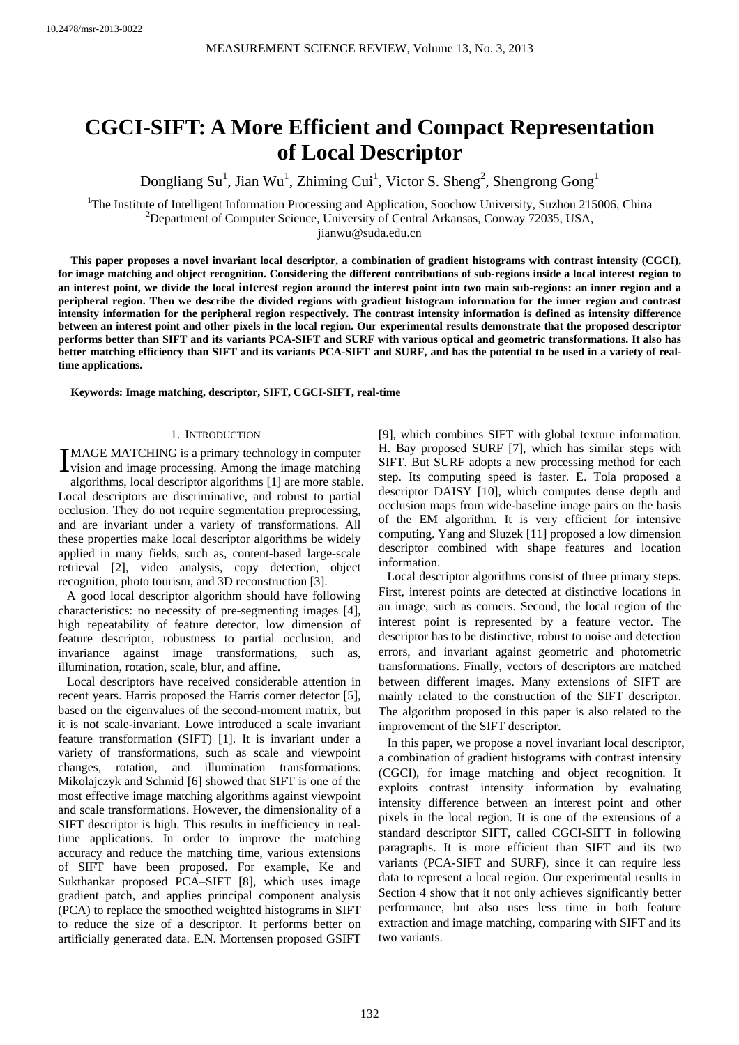# **CGCI-SIFT: A More Efficient and Compact Representation of Local Descriptor**

Dongliang Su<sup>1</sup>, Jian Wu<sup>1</sup>, Zhiming Cui<sup>1</sup>, Victor S. Sheng<sup>2</sup>, Shengrong Gong<sup>1</sup>

<sup>1</sup>The Institute of Intelligent Information Processing and Application, Soochow University, Suzhou 215006, China <sup>2</sup> Department of Computer Science, University of Control Arkanese, Convey 72025, USA Department of Computer Science, University of Central Arkansas, Conway 72035, USA,

jianwu@suda.edu.cn

**This paper proposes a novel invariant local descriptor, a combination of gradient histograms with contrast intensity (CGCI), for image matching and object recognition. Considering the different contributions of sub-regions inside a local interest region to an interest point, we divide the local interest region around the interest point into two main sub-regions: an inner region and a peripheral region. Then we describe the divided regions with gradient histogram information for the inner region and contrast intensity information for the peripheral region respectively. The contrast intensity information is defined as intensity difference between an interest point and other pixels in the local region. Our experimental results demonstrate that the proposed descriptor performs better than SIFT and its variants PCA-SIFT and SURF with various optical and geometric transformations. It also has better matching efficiency than SIFT and its variants PCA-SIFT and SURF, and has the potential to be used in a variety of realtime applications.** 

**Keywords: Image matching, descriptor, SIFT, CGCI-SIFT, real-time** 

# 1. INTRODUCTION

MAGE MATCHING is a primary technology in computer IMAGE MATCHING is a primary technology in computer<br>vision and image processing. Among the image matching algorithms, local descriptor algorithms [1] are more stable. Local descriptors are discriminative, and robust to partial occlusion. They do not require segmentation preprocessing, and are invariant under a variety of transformations. All these properties make local descriptor algorithms be widely applied in many fields, such as, content-based large-scale retrieval [2], video analysis, copy detection, object recognition, photo tourism, and 3D reconstruction [3].

A good local descriptor algorithm should have following characteristics: no necessity of pre-segmenting images [4], high repeatability of feature detector, low dimension of feature descriptor, robustness to partial occlusion, and invariance against image transformations, such as, illumination, rotation, scale, blur, and affine.

Local descriptors have received considerable attention in recent years. Harris proposed the Harris corner detector [5], based on the eigenvalues of the second-moment matrix, but it is not scale-invariant. Lowe introduced a scale invariant feature transformation (SIFT) [1]. It is invariant under a variety of transformations, such as scale and viewpoint changes, rotation, and illumination transformations. Mikolajczyk and Schmid [6] showed that SIFT is one of the most effective image matching algorithms against viewpoint and scale transformations. However, the dimensionality of a SIFT descriptor is high. This results in inefficiency in realtime applications. In order to improve the matching accuracy and reduce the matching time, various extensions of SIFT have been proposed. For example, Ke and Sukthankar proposed PCA–SIFT [8], which uses image gradient patch, and applies principal component analysis (PCA) to replace the smoothed weighted histograms in SIFT to reduce the size of a descriptor. It performs better on artificially generated data. E.N. Mortensen proposed GSIFT [9], which combines SIFT with global texture information. H. Bay proposed SURF [7], which has similar steps with SIFT. But SURF adopts a new processing method for each step. Its computing speed is faster. E. Tola proposed a descriptor DAISY [10], which computes dense depth and occlusion maps from wide-baseline image pairs on the basis of the EM algorithm. It is very efficient for intensive computing. Yang and Sluzek [11] proposed a low dimension descriptor combined with shape features and location information.

Local descriptor algorithms consist of three primary steps. First, interest points are detected at distinctive locations in an image, such as corners. Second, the local region of the interest point is represented by a feature vector. The descriptor has to be distinctive, robust to noise and detection errors, and invariant against geometric and photometric transformations. Finally, vectors of descriptors are matched between different images. Many extensions of SIFT are mainly related to the construction of the SIFT descriptor. The algorithm proposed in this paper is also related to the improvement of the SIFT descriptor.

In this paper, we propose a novel invariant local descriptor, a combination of gradient histograms with contrast intensity (CGCI), for image matching and object recognition. It exploits contrast intensity information by evaluating intensity difference between an interest point and other pixels in the local region. It is one of the extensions of a standard descriptor SIFT, called CGCI-SIFT in following paragraphs. It is more efficient than SIFT and its two variants (PCA-SIFT and SURF), since it can require less data to represent a local region. Our experimental results in Section 4 show that it not only achieves significantly better performance, but also uses less time in both feature extraction and image matching, comparing with SIFT and its two variants.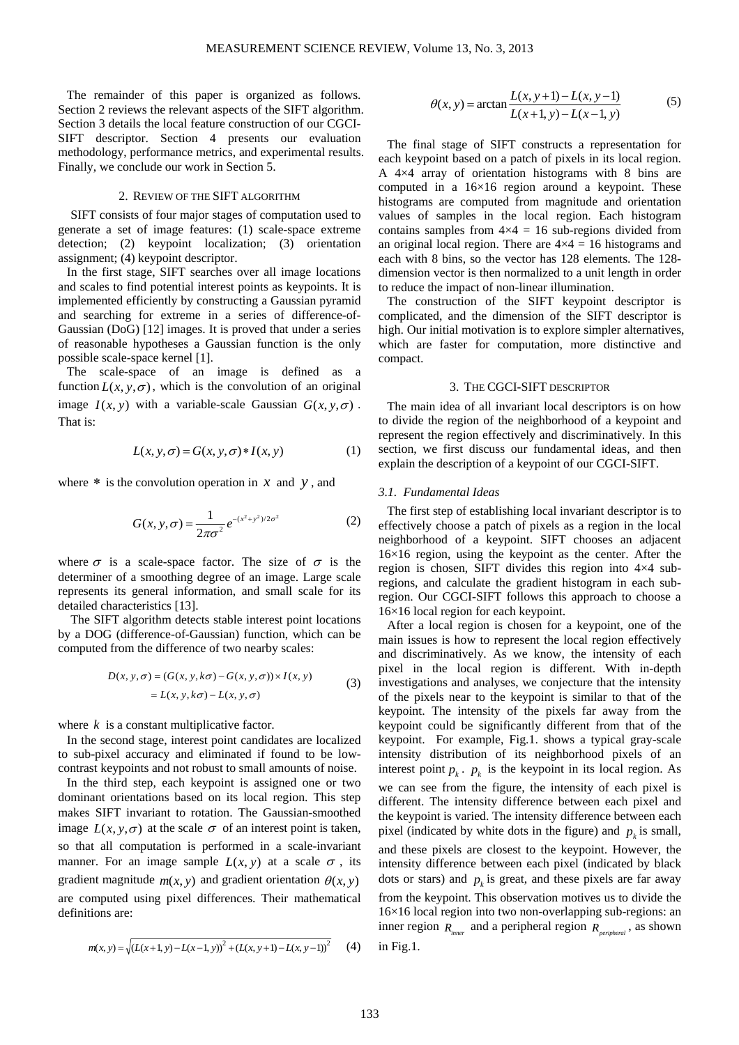The remainder of this paper is organized as follows. Section 2 reviews the relevant aspects of the SIFT algorithm. Section 3 details the local feature construction of our CGCI-SIFT descriptor. Section 4 presents our evaluation methodology, performance metrics, and experimental results. Finally, we conclude our work in Section 5.

# 2. REVIEW OF THE SIFT ALGORITHM

SIFT consists of four major stages of computation used to generate a set of image features: (1) scale-space extreme detection; (2) keypoint localization; (3) orientation assignment; (4) keypoint descriptor.

In the first stage, SIFT searches over all image locations and scales to find potential interest points as keypoints. It is implemented efficiently by constructing a Gaussian pyramid and searching for extreme in a series of difference-of-Gaussian (DoG) [12] images. It is proved that under a series of reasonable hypotheses a Gaussian function is the only possible scale-space kernel [1].

The scale-space of an image is defined as a function  $L(x, y, \sigma)$ , which is the convolution of an original image  $I(x, y)$  with a variable-scale Gaussian  $G(x, y, \sigma)$ . That is:

$$
L(x, y, \sigma) = G(x, y, \sigma) * I(x, y)
$$
 (1)

where  $*$  is the convolution operation in  $x$  and  $y$ , and

$$
G(x, y, \sigma) = \frac{1}{2\pi\sigma^2} e^{-(x^2 + y^2)/2\sigma^2}
$$
 (2)

where  $\sigma$  is a scale-space factor. The size of  $\sigma$  is the determiner of a smoothing degree of an image. Large scale represents its general information, and small scale for its detailed characteristics [13].

The SIFT algorithm detects stable interest point locations by a DOG (difference-of-Gaussian) function, which can be computed from the difference of two nearby scales:

$$
D(x, y, \sigma) = (G(x, y, k\sigma) - G(x, y, \sigma)) \times I(x, y)
$$
  
=  $L(x, y, k\sigma) - L(x, y, \sigma)$  (3)

where  $k$  is a constant multiplicative factor.

In the second stage, interest point candidates are localized to sub-pixel accuracy and eliminated if found to be lowcontrast keypoints and not robust to small amounts of noise.

In the third step, each keypoint is assigned one or two dominant orientations based on its local region. This step makes SIFT invariant to rotation. The Gaussian-smoothed image  $L(x, y, \sigma)$  at the scale  $\sigma$  of an interest point is taken, so that all computation is performed in a scale-invariant manner. For an image sample  $L(x, y)$  at a scale  $\sigma$ , its gradient magnitude  $m(x, y)$  and gradient orientation  $\theta(x, y)$ are computed using pixel differences. Their mathematical definitions are:

$$
m(x, y) = \sqrt{(L(x+1, y) - L(x-1, y))^{2} + (L(x, y+1) - L(x, y-1))^{2}}
$$
 (4)

$$
\theta(x, y) = \arctan \frac{L(x, y+1) - L(x, y-1)}{L(x+1, y) - L(x-1, y)}
$$
(5)

The final stage of SIFT constructs a representation for each keypoint based on a patch of pixels in its local region. A 4×4 array of orientation histograms with 8 bins are computed in a  $16\times16$  region around a keypoint. These histograms are computed from magnitude and orientation values of samples in the local region. Each histogram contains samples from  $4\times4 = 16$  sub-regions divided from an original local region. There are  $4\times4 = 16$  histograms and each with 8 bins, so the vector has 128 elements. The 128 dimension vector is then normalized to a unit length in order to reduce the impact of non-linear illumination.

The construction of the SIFT keypoint descriptor is complicated, and the dimension of the SIFT descriptor is high. Our initial motivation is to explore simpler alternatives, which are faster for computation, more distinctive and compact.

# 3. THE CGCI-SIFT DESCRIPTOR

The main idea of all invariant local descriptors is on how to divide the region of the neighborhood of a keypoint and represent the region effectively and discriminatively. In this section, we first discuss our fundamental ideas, and then explain the description of a keypoint of our CGCI-SIFT.

## *3.1. Fundamental Ideas*

The first step of establishing local invariant descriptor is to effectively choose a patch of pixels as a region in the local neighborhood of a keypoint. SIFT chooses an adjacent 16×16 region, using the keypoint as the center. After the region is chosen, SIFT divides this region into 4×4 subregions, and calculate the gradient histogram in each subregion. Our CGCI-SIFT follows this approach to choose a 16×16 local region for each keypoint.

After a local region is chosen for a keypoint, one of the main issues is how to represent the local region effectively and discriminatively. As we know, the intensity of each pixel in the local region is different. With in-depth investigations and analyses, we conjecture that the intensity of the pixels near to the keypoint is similar to that of the keypoint. The intensity of the pixels far away from the keypoint could be significantly different from that of the keypoint. For example, Fig.1. shows a typical gray-scale intensity distribution of its neighborhood pixels of an interest point  $p_k$ .  $p_k$  is the keypoint in its local region. As we can see from the figure, the intensity of each pixel is different. The intensity difference between each pixel and the keypoint is varied. The intensity difference between each pixel (indicated by white dots in the figure) and  $p_k$  is small, and these pixels are closest to the keypoint. However, the intensity difference between each pixel (indicated by black dots or stars) and  $p_k$  is great, and these pixels are far away from the keypoint. This observation motives us to divide the

16×16 local region into two non-overlapping sub-regions: an inner region  $R_{\text{inner}}$  and a peripheral region  $R_{\text{perinthermal}}$ , as shown in Fig.1.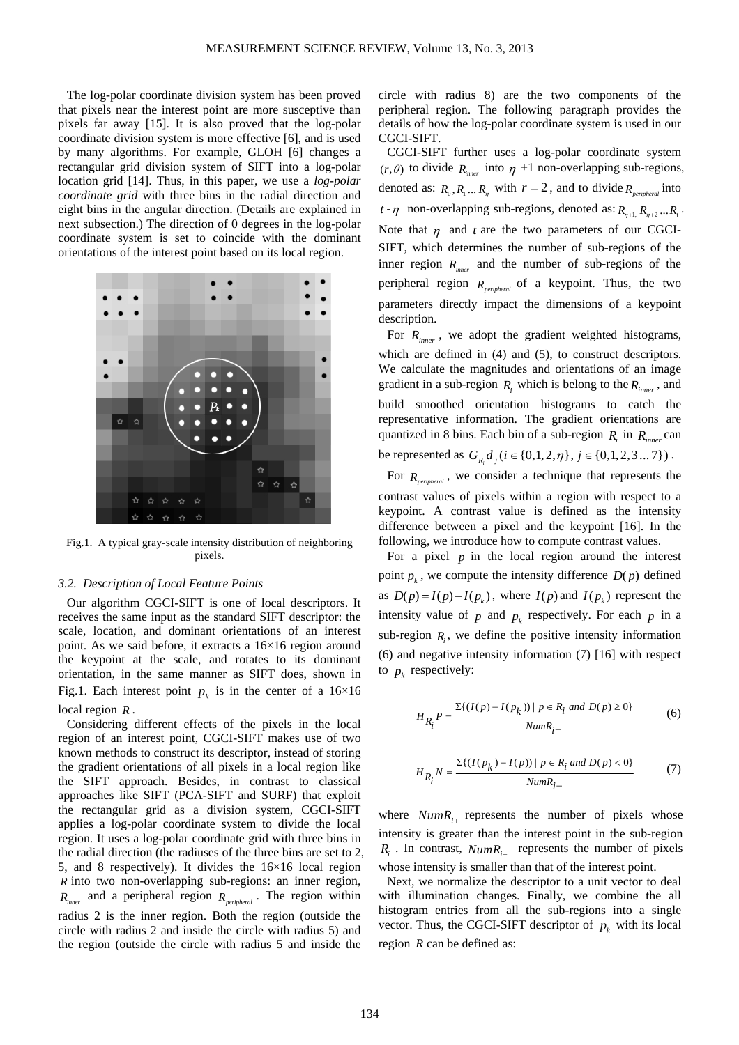The log-polar coordinate division system has been proved that pixels near the interest point are more susceptive than pixels far away [15]. It is also proved that the log-polar coordinate division system is more effective [6], and is used by many algorithms. For example, GLOH [6] changes a rectangular grid division system of SIFT into a log-polar location grid [14]. Thus, in this paper, we use a *log-polar coordinate grid* with three bins in the radial direction and eight bins in the angular direction. (Details are explained in next subsection.) The direction of 0 degrees in the log-polar coordinate system is set to coincide with the dominant orientations of the interest point based on its local region.



Fig.1. A typical gray-scale intensity distribution of neighboring pixels.

### *3.2. Description of Local Feature Points*

Our algorithm CGCI-SIFT is one of local descriptors. It receives the same input as the standard SIFT descriptor: the scale, location, and dominant orientations of an interest point. As we said before, it extracts a 16×16 region around the keypoint at the scale, and rotates to its dominant orientation, in the same manner as SIFT does, shown in Fig.1. Each interest point  $p_k$  is in the center of a 16×16 local region *R* .

Considering different effects of the pixels in the local region of an interest point, CGCI-SIFT makes use of two known methods to construct its descriptor, instead of storing the gradient orientations of all pixels in a local region like the SIFT approach. Besides, in contrast to classical approaches like SIFT (PCA-SIFT and SURF) that exploit the rectangular grid as a division system, CGCI-SIFT applies a log-polar coordinate system to divide the local region. It uses a log-polar coordinate grid with three bins in the radial direction (the radiuses of the three bins are set to 2, 5, and 8 respectively). It divides the 16×16 local region *R* into two non-overlapping sub-regions: an inner region, *Rinner* and a peripheral region *Rperipheral* . The region within radius 2 is the inner region. Both the region (outside the circle with radius 2 and inside the circle with radius 5) and the region (outside the circle with radius 5 and inside the

circle with radius 8) are the two components of the peripheral region. The following paragraph provides the details of how the log-polar coordinate system is used in our CGCI-SIFT.

CGCI-SIFT further uses a log-polar coordinate system  $(r, \theta)$  to divide  $R_{\text{inner}}$  into  $\eta$  +1 non-overlapping sub-regions, denoted as:  $R_0$ ,  $R_1$  ...  $R_n$  with  $r = 2$ , and to divide  $R_{peribleral}$  into  $t - \eta$  non-overlapping sub-regions, denoted as:  $R_{n+1}$ ,  $R_{n+2}$ , ...  $R_{n+1}$ . Note that  $\eta$  and  $t$  are the two parameters of our CGCI-SIFT, which determines the number of sub-regions of the inner region *Rinner* and the number of sub-regions of the peripheral region *Rperipheral* of a keypoint. Thus, the two parameters directly impact the dimensions of a keypoint description.

For  $R_{\text{inner}}$ , we adopt the gradient weighted histograms, which are defined in (4) and (5), to construct descriptors. We calculate the magnitudes and orientations of an image gradient in a sub-region  $R_i$  which is belong to the  $R_{inner}$ , and build smoothed orientation histograms to catch the representative information. The gradient orientations are quantized in 8 bins. Each bin of a sub-region  $R_i$  in  $R_{inner}$  can be represented as  $G_{R_i} d_i (i \in \{0, 1, 2, \eta\}, j \in \{0, 1, 2, 3 \dots 7\})$ .

For  $R_{periodical}$ , we consider a technique that represents the contrast values of pixels within a region with respect to a keypoint. A contrast value is defined as the intensity difference between a pixel and the keypoint [16]. In the following, we introduce how to compute contrast values.

For a pixel  *in the local region around the interest* point  $p_k$ , we compute the intensity difference  $D(p)$  defined as  $D(p) = I(p) - I(p_k)$ , where  $I(p)$  and  $I(p_k)$  represent the intensity value of  $p$  and  $p_k$  respectively. For each  $p$  in a sub-region  $R_i$ , we define the positive intensity information (6) and negative intensity information (7) [16] with respect to  $p_k$  respectively:

$$
H_{R_i}P = \frac{\Sigma\{(I(p) - I(p_k)) \mid p \in R_i \text{ and } D(p) \ge 0\}}{Num_{i+}}
$$
(6)

$$
H_{R_i^j} N = \frac{\Sigma \{ (I(p_k) - I(p)) \mid p \in R_i \text{ and } D(p) < 0 \}}{Num_{i-}} \tag{7}
$$

where  $NumR_{i+}$  represents the number of pixels whose intensity is greater than the interest point in the sub-region *R<sub>i</sub>*. In contrast, *NumR<sub>i</sub>* represents the number of pixels whose intensity is smaller than that of the interest point.

Next, we normalize the descriptor to a unit vector to deal with illumination changes. Finally, we combine the all histogram entries from all the sub-regions into a single vector. Thus, the CGCI-SIFT descriptor of  $p_k$  with its local region *R* can be defined as: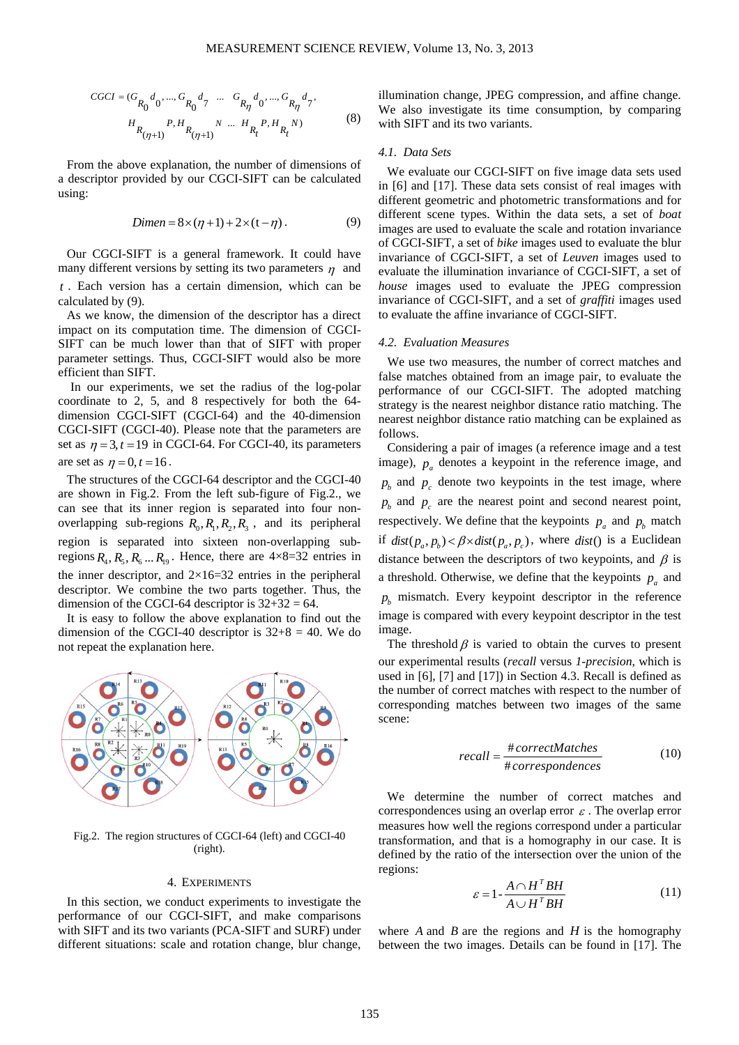$$
CGCI = (G_{R_0}d_0, ..., G_{R_0}d_7 ... G_{R_n}d_0, ..., G_{R_n}d_7)
$$
  

$$
H_{R_{(\eta+1)}}P, H_{R_{(\eta+1)}}N ... H_{R_t}P, H_{R_t}N)
$$
 (8)

From the above explanation, the number of dimensions of a descriptor provided by our CGCI-SIFT can be calculated using:

$$
Dimen = 8 \times (\eta + 1) + 2 \times (t - \eta). \tag{9}
$$

Our CGCI-SIFT is a general framework. It could have many different versions by setting its two parameters  $\eta$  and *t* . Each version has a certain dimension, which can be calculated by (9).

As we know, the dimension of the descriptor has a direct impact on its computation time. The dimension of CGCI-SIFT can be much lower than that of SIFT with proper parameter settings. Thus, CGCI-SIFT would also be more efficient than SIFT.

In our experiments, we set the radius of the log-polar coordinate to 2, 5, and 8 respectively for both the 64 dimension CGCI-SIFT (CGCI-64) and the 40-dimension CGCI-SIFT (CGCI-40). Please note that the parameters are set as  $\eta = 3$ ,  $t = 19$  in CGCI-64. For CGCI-40, its parameters are set as  $\eta = 0, t = 16$ .

The structures of the CGCI-64 descriptor and the CGCI-40 are shown in Fig.2. From the left sub-figure of Fig.2., we can see that its inner region is separated into four nonoverlapping sub-regions  $R_0, R_1, R_2, R_3$ , and its peripheral region is separated into sixteen non-overlapping subregions  $R_4, R_5, R_6, \ldots R_{19}$ . Hence, there are  $4 \times 8 = 32$  entries in the inner descriptor, and  $2\times16=32$  entries in the peripheral descriptor. We combine the two parts together. Thus, the dimension of the CGCI-64 descriptor is  $32+32 = 64$ .

It is easy to follow the above explanation to find out the dimension of the CGCI-40 descriptor is  $32+8 = 40$ . We do not repeat the explanation here.



Fig.2. The region structures of CGCI-64 (left) and CGCI-40 (right).

### 4. EXPERIMENTS

In this section, we conduct experiments to investigate the performance of our CGCI-SIFT, and make comparisons with SIFT and its two variants (PCA-SIFT and SURF) under different situations: scale and rotation change, blur change, illumination change, JPEG compression, and affine change. We also investigate its time consumption, by comparing with SIFT and its two variants.

#### *4.1. Data Sets*

We evaluate our CGCI-SIFT on five image data sets used in [6] and [17]. These data sets consist of real images with different geometric and photometric transformations and for different scene types. Within the data sets, a set of *boat* images are used to evaluate the scale and rotation invariance of CGCI-SIFT, a set of *bike* images used to evaluate the blur invariance of CGCI-SIFT, a set of *Leuven* images used to evaluate the illumination invariance of CGCI-SIFT, a set of *house* images used to evaluate the JPEG compression invariance of CGCI-SIFT, and a set of *graffiti* images used to evaluate the affine invariance of CGCI-SIFT.

#### *4.2. Evaluation Measures*

We use two measures, the number of correct matches and false matches obtained from an image pair, to evaluate the performance of our CGCI-SIFT. The adopted matching strategy is the nearest neighbor distance ratio matching. The nearest neighbor distance ratio matching can be explained as follows.

Considering a pair of images (a reference image and a test image),  $p_a$  denotes a keypoint in the reference image, and  $p<sub>k</sub>$  and  $p<sub>c</sub>$  denote two keypoints in the test image, where  $p<sub>b</sub>$  and  $p<sub>c</sub>$  are the nearest point and second nearest point, respectively. We define that the keypoints  $p_a$  and  $p_b$  match if  $dist(p_a, p_b) < \beta \times dist(p_a, p_c)$ , where  $dist()$  is a Euclidean distance between the descriptors of two keypoints, and  $\beta$  is a threshold. Otherwise, we define that the keypoints  $p_a$  and  $p<sub>k</sub>$  mismatch. Every keypoint descriptor in the reference image is compared with every keypoint descriptor in the test image.

The threshold  $\beta$  is varied to obtain the curves to present our experimental results (*recall* versus *1-precision*, which is used in [6], [7] and [17]) in Section 4.3. Recall is defined as the number of correct matches with respect to the number of corresponding matches between two images of the same scene:

$$
recall = \frac{\#correctMatches}{\#correspondences}
$$
 (10)

We determine the number of correct matches and correspondences using an overlap error  $\varepsilon$ . The overlap error measures how well the regions correspond under a particular transformation, and that is a homography in our case. It is defined by the ratio of the intersection over the union of the regions:

$$
\varepsilon = 1 - \frac{A \cap H^T B H}{A \cup H^T B H} \tag{11}
$$

where *A* and *B* are the regions and *H* is the homography between the two images. Details can be found in [17]. The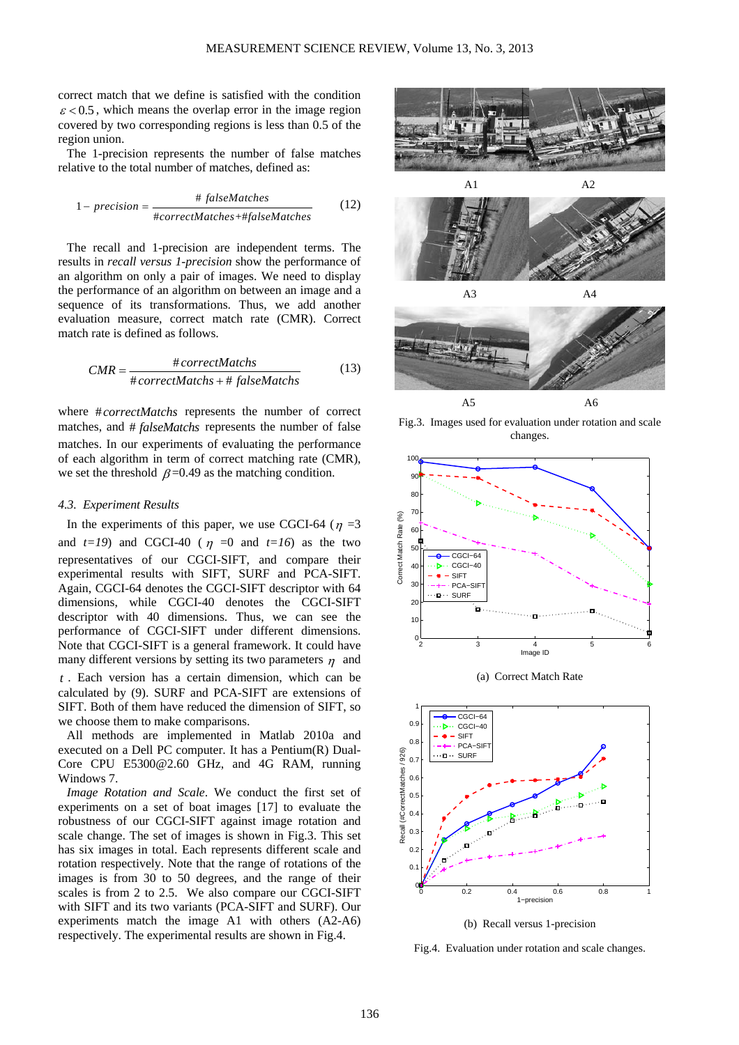correct match that we define is satisfied with the condition  $\epsilon$  < 0.5, which means the overlap error in the image region covered by two corresponding regions is less than 0.5 of the region union.

The 1-precision represents the number of false matches relative to the total number of matches, defined as:

$$
1 - precision = \frac{\# falseMatches}{\#correctMatches + \#falseMatches}
$$
 (12)

The recall and 1-precision are independent terms. The results in *recall versus 1-precision* show the performance of an algorithm on only a pair of images. We need to display the performance of an algorithm on between an image and a sequence of its transformations. Thus, we add another evaluation measure, correct match rate (CMR). Correct match rate is defined as follows.

$$
CMR = \frac{\#correctMatches}{\#correctMatches + \#falseMatches}
$$
(13)

where #*correctMatchs* represents the number of correct matches, and # *falseMatchs* represents the number of false matches. In our experiments of evaluating the performance of each algorithm in term of correct matching rate (CMR), we set the threshold  $\beta$  =0.49 as the matching condition.

#### *4.3. Experiment Results*

In the experiments of this paper, we use CGCI-64 ( $\eta$  =3 and  $t=19$ ) and CGCI-40 ( $\eta = 0$  and  $t=16$ ) as the two representatives of our CGCI-SIFT, and compare their experimental results with SIFT, SURF and PCA-SIFT. Again, CGCI-64 denotes the CGCI-SIFT descriptor with 64 dimensions, while CGCI-40 denotes the CGCI-SIFT descriptor with 40 dimensions. Thus, we can see the performance of CGCI-SIFT under different dimensions. Note that CGCI-SIFT is a general framework. It could have many different versions by setting its two parameters  $\eta$  and *t* . Each version has a certain dimension, which can be

calculated by (9). SURF and PCA-SIFT are extensions of SIFT. Both of them have reduced the dimension of SIFT, so we choose them to make comparisons.

All methods are implemented in Matlab 2010a and executed on a Dell PC computer. It has a Pentium(R) Dual-Core CPU E5300@2.60 GHz, and 4G RAM, running Windows 7.

*Image Rotation and Scale*. We conduct the first set of experiments on a set of boat images [17] to evaluate the robustness of our CGCI-SIFT against image rotation and scale change. The set of images is shown in Fig.3. This set has six images in total. Each represents different scale and rotation respectively. Note that the range of rotations of the images is from 30 to 50 degrees, and the range of their scales is from 2 to 2.5. We also compare our CGCI-SIFT with SIFT and its two variants (PCA-SIFT and SURF). Our experiments match the image A1 with others (A2-A6) respectively. The experimental results are shown in Fig.4.







Fig.3. Images used for evaluation under rotation and scale changes.



(a) Correct Match Rate



(b) Recall versus 1-precision

Fig.4. Evaluation under rotation and scale changes.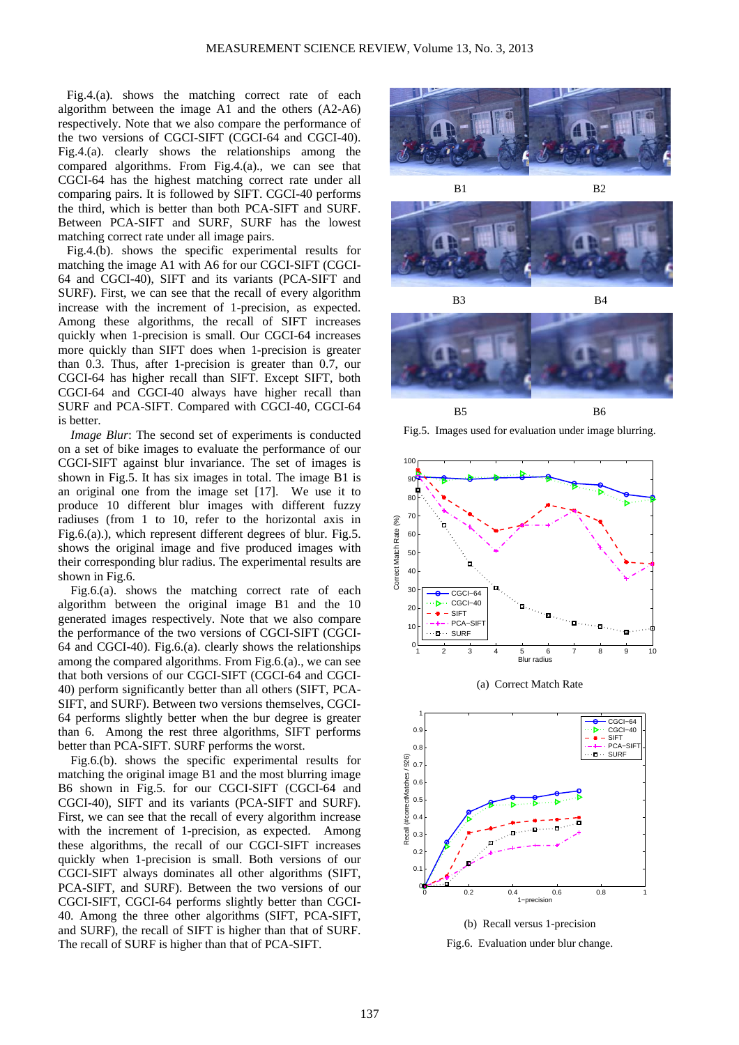Fig.4.(a). shows the matching correct rate of each algorithm between the image A1 and the others (A2-A6) respectively. Note that we also compare the performance of the two versions of CGCI-SIFT (CGCI-64 and CGCI-40). Fig.4.(a). clearly shows the relationships among the compared algorithms. From Fig.4.(a)., we can see that CGCI-64 has the highest matching correct rate under all comparing pairs. It is followed by SIFT. CGCI-40 performs the third, which is better than both PCA-SIFT and SURF. Between PCA-SIFT and SURF, SURF has the lowest matching correct rate under all image pairs.

Fig.4.(b). shows the specific experimental results for matching the image A1 with A6 for our CGCI-SIFT (CGCI-64 and CGCI-40), SIFT and its variants (PCA-SIFT and SURF). First, we can see that the recall of every algorithm increase with the increment of 1-precision, as expected. Among these algorithms, the recall of SIFT increases quickly when 1-precision is small. Our CGCI-64 increases more quickly than SIFT does when 1-precision is greater than 0.3. Thus, after 1-precision is greater than 0.7, our CGCI-64 has higher recall than SIFT. Except SIFT, both CGCI-64 and CGCI-40 always have higher recall than SURF and PCA-SIFT. Compared with CGCI-40, CGCI-64 is better.

*Image Blur*: The second set of experiments is conducted on a set of bike images to evaluate the performance of our CGCI-SIFT against blur invariance. The set of images is shown in Fig.5. It has six images in total. The image B1 is an original one from the image set [17]. We use it to produce 10 different blur images with different fuzzy radiuses (from 1 to 10, refer to the horizontal axis in Fig.6.(a).), which represent different degrees of blur. Fig.5. shows the original image and five produced images with their corresponding blur radius. The experimental results are shown in Fig.6.

Fig.6.(a). shows the matching correct rate of each algorithm between the original image B1 and the 10 generated images respectively. Note that we also compare the performance of the two versions of CGCI-SIFT (CGCI-64 and CGCI-40). Fig.6.(a). clearly shows the relationships among the compared algorithms. From Fig.6.(a)., we can see that both versions of our CGCI-SIFT (CGCI-64 and CGCI-40) perform significantly better than all others (SIFT, PCA-SIFT, and SURF). Between two versions themselves, CGCI-64 performs slightly better when the bur degree is greater than 6. Among the rest three algorithms, SIFT performs better than PCA-SIFT. SURF performs the worst.

Fig.6.(b). shows the specific experimental results for matching the original image B1 and the most blurring image B6 shown in Fig.5. for our CGCI-SIFT (CGCI-64 and CGCI-40), SIFT and its variants (PCA-SIFT and SURF). First, we can see that the recall of every algorithm increase with the increment of 1-precision, as expected. Among these algorithms, the recall of our CGCI-SIFT increases quickly when 1-precision is small. Both versions of our CGCI-SIFT always dominates all other algorithms (SIFT, PCA-SIFT, and SURF). Between the two versions of our CGCI-SIFT, CGCI-64 performs slightly better than CGCI-40. Among the three other algorithms (SIFT, PCA-SIFT, and SURF), the recall of SIFT is higher than that of SURF. The recall of SURF is higher than that of PCA-SIFT.







Fig.5. Images used for evaluation under image blurring.

![](_page_5_Figure_11.jpeg)

![](_page_5_Figure_12.jpeg)

![](_page_5_Figure_13.jpeg)

![](_page_5_Figure_14.jpeg)

Fig.6. Evaluation under blur change.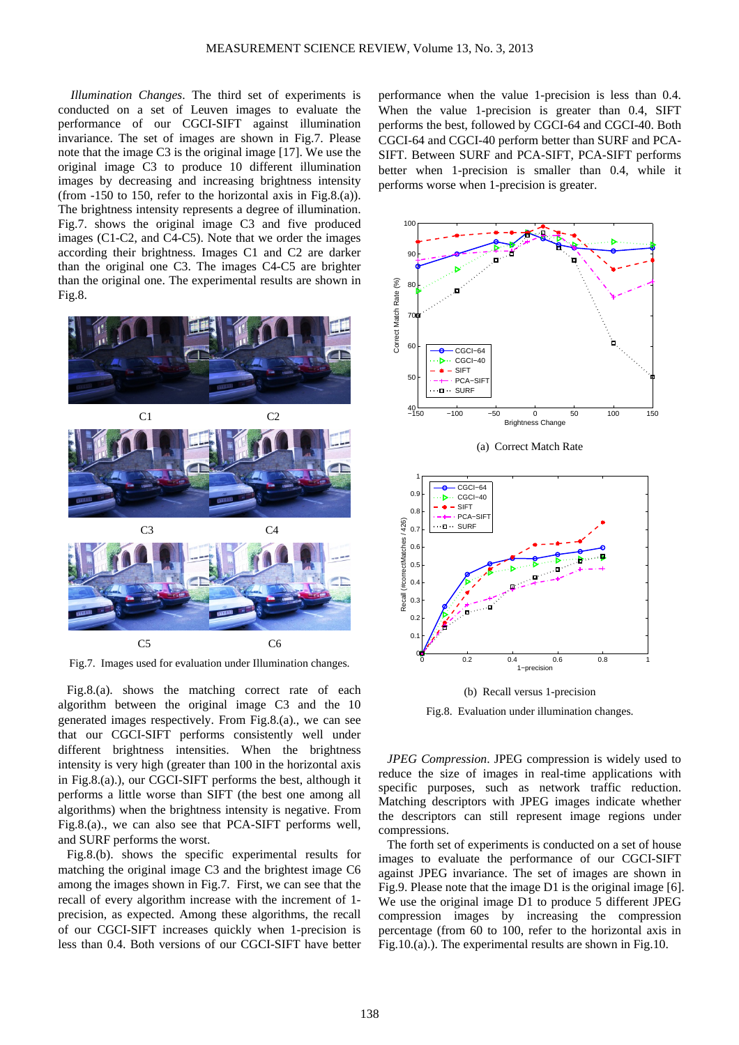*Illumination Changes*. The third set of experiments is conducted on a set of Leuven images to evaluate the performance of our CGCI-SIFT against illumination invariance. The set of images are shown in Fig.7. Please note that the image C3 is the original image [17]. We use the original image C3 to produce 10 different illumination images by decreasing and increasing brightness intensity (from -150 to 150, refer to the horizontal axis in Fig.8.(a)). The brightness intensity represents a degree of illumination. Fig.7. shows the original image C3 and five produced images (C1-C2, and C4-C5). Note that we order the images according their brightness. Images C1 and C2 are darker than the original one C3. The images C4-C5 are brighter than the original one. The experimental results are shown in Fig.8.

![](_page_6_Figure_2.jpeg)

Fig.7. Images used for evaluation under Illumination changes.

Fig.8.(a). shows the matching correct rate of each algorithm between the original image C3 and the 10 generated images respectively. From Fig.8.(a)., we can see that our CGCI-SIFT performs consistently well under different brightness intensities. When the brightness intensity is very high (greater than 100 in the horizontal axis in Fig.8.(a).), our CGCI-SIFT performs the best, although it performs a little worse than SIFT (the best one among all algorithms) when the brightness intensity is negative. From Fig.8.(a)., we can also see that PCA-SIFT performs well, and SURF performs the worst.

Fig.8.(b). shows the specific experimental results for matching the original image C3 and the brightest image C6 among the images shown in Fig.7. First, we can see that the recall of every algorithm increase with the increment of 1 precision, as expected. Among these algorithms, the recall of our CGCI-SIFT increases quickly when 1-precision is less than 0.4. Both versions of our CGCI-SIFT have better

performance when the value 1-precision is less than 0.4. When the value 1-precision is greater than 0.4, SIFT performs the best, followed by CGCI-64 and CGCI-40. Both CGCI-64 and CGCI-40 perform better than SURF and PCA-SIFT. Between SURF and PCA-SIFT, PCA-SIFT performs better when 1-precision is smaller than 0.4, while it performs worse when 1-precision is greater.

![](_page_6_Figure_7.jpeg)

(a) Correct Match Rate

![](_page_6_Figure_9.jpeg)

(b) Recall versus 1-precision Fig.8. Evaluation under illumination changes.

*JPEG Compression*. JPEG compression is widely used to reduce the size of images in real-time applications with specific purposes, such as network traffic reduction. Matching descriptors with JPEG images indicate whether the descriptors can still represent image regions under compressions.

The forth set of experiments is conducted on a set of house images to evaluate the performance of our CGCI-SIFT against JPEG invariance. The set of images are shown in Fig.9. Please note that the image D1 is the original image [6]. We use the original image D1 to produce 5 different JPEG compression images by increasing the compression percentage (from 60 to 100, refer to the horizontal axis in Fig.10.(a).). The experimental results are shown in Fig.10.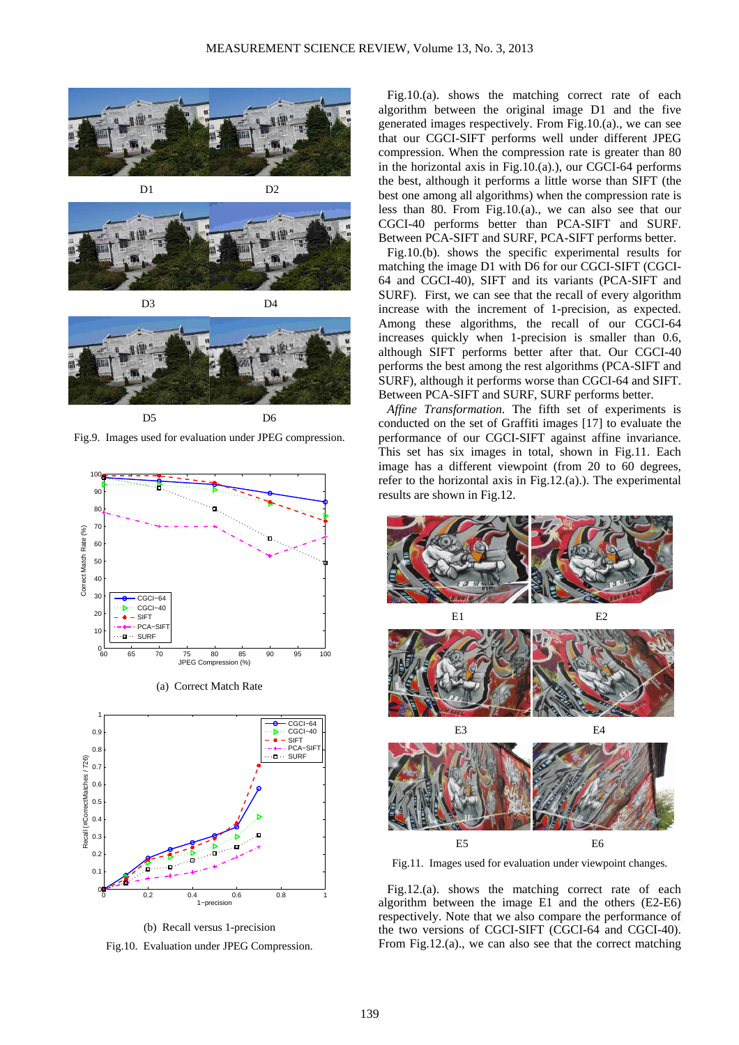![](_page_7_Picture_1.jpeg)

![](_page_7_Picture_2.jpeg)

D3 D4

![](_page_7_Picture_4.jpeg)

Fig.9. Images used for evaluation under JPEG compression.

![](_page_7_Figure_6.jpeg)

(a) Correct Match Rate

![](_page_7_Figure_8.jpeg)

(b) Recall versus 1-precision

Fig.10. Evaluation under JPEG Compression.

Fig.10.(a). shows the matching correct rate of each algorithm between the original image D1 and the five generated images respectively. From Fig.10.(a)., we can see that our CGCI-SIFT performs well under different JPEG compression. When the compression rate is greater than 80 in the horizontal axis in Fig.10.(a).), our CGCI-64 performs the best, although it performs a little worse than SIFT (the best one among all algorithms) when the compression rate is less than 80. From Fig.10.(a)., we can also see that our CGCI-40 performs better than PCA-SIFT and SURF. Between PCA-SIFT and SURF, PCA-SIFT performs better.

Fig.10.(b). shows the specific experimental results for matching the image D1 with D6 for our CGCI-SIFT (CGCI-64 and CGCI-40), SIFT and its variants (PCA-SIFT and SURF). First, we can see that the recall of every algorithm increase with the increment of 1-precision, as expected. Among these algorithms, the recall of our CGCI-64 increases quickly when 1-precision is smaller than 0.6, although SIFT performs better after that. Our CGCI-40 performs the best among the rest algorithms (PCA-SIFT and SURF), although it performs worse than CGCI-64 and SIFT. Between PCA-SIFT and SURF, SURF performs better.

*Affine Transformation*. The fifth set of experiments is conducted on the set of Graffiti images [17] to evaluate the performance of our CGCI-SIFT against affine invariance. This set has six images in total, shown in Fig.11. Each image has a different viewpoint (from 20 to 60 degrees, refer to the horizontal axis in Fig.12.(a).). The experimental results are shown in Fig.12.

![](_page_7_Figure_14.jpeg)

Fig.11. Images used for evaluation under viewpoint changes.

Fig.12.(a). shows the matching correct rate of each algorithm between the image E1 and the others (E2-E6) respectively. Note that we also compare the performance of the two versions of CGCI-SIFT (CGCI-64 and CGCI-40). From Fig.12.(a)., we can also see that the correct matching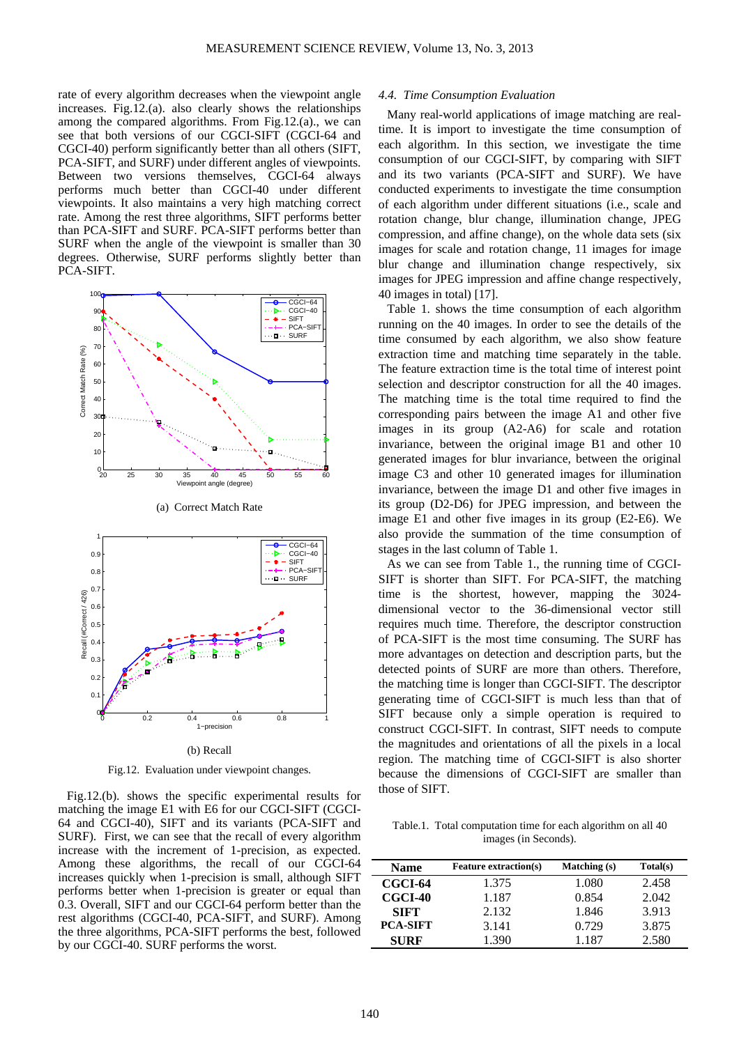rate of every algorithm decreases when the viewpoint angle increases. Fig.12.(a). also clearly shows the relationships among the compared algorithms. From Fig.12.(a)., we can see that both versions of our CGCI-SIFT (CGCI-64 and CGCI-40) perform significantly better than all others (SIFT, PCA-SIFT, and SURF) under different angles of viewpoints. Between two versions themselves, CGCI-64 always performs much better than CGCI-40 under different viewpoints. It also maintains a very high matching correct rate. Among the rest three algorithms, SIFT performs better than PCA-SIFT and SURF. PCA-SIFT performs better than SURF when the angle of the viewpoint is smaller than 30 degrees. Otherwise, SURF performs slightly better than PCA-SIFT.

![](_page_8_Figure_2.jpeg)

![](_page_8_Figure_3.jpeg)

Fig.12. Evaluation under viewpoint changes.

Fig.12.(b). shows the specific experimental results for matching the image E1 with E6 for our CGCI-SIFT (CGCI-64 and CGCI-40), SIFT and its variants (PCA-SIFT and SURF). First, we can see that the recall of every algorithm increase with the increment of 1-precision, as expected. Among these algorithms, the recall of our CGCI-64 increases quickly when 1-precision is small, although SIFT performs better when 1-precision is greater or equal than 0.3. Overall, SIFT and our CGCI-64 perform better than the rest algorithms (CGCI-40, PCA-SIFT, and SURF). Among the three algorithms, PCA-SIFT performs the best, followed by our CGCI-40. SURF performs the worst.

# *4.4. Time Consumption Evaluation*

Many real-world applications of image matching are realtime. It is import to investigate the time consumption of each algorithm. In this section, we investigate the time consumption of our CGCI-SIFT, by comparing with SIFT and its two variants (PCA-SIFT and SURF). We have conducted experiments to investigate the time consumption of each algorithm under different situations (i.e., scale and rotation change, blur change, illumination change, JPEG compression, and affine change), on the whole data sets (six images for scale and rotation change, 11 images for image blur change and illumination change respectively, six images for JPEG impression and affine change respectively, 40 images in total) [17].

Table 1. shows the time consumption of each algorithm running on the 40 images. In order to see the details of the time consumed by each algorithm, we also show feature extraction time and matching time separately in the table. The feature extraction time is the total time of interest point selection and descriptor construction for all the 40 images. The matching time is the total time required to find the corresponding pairs between the image A1 and other five images in its group (A2-A6) for scale and rotation invariance, between the original image B1 and other 10 generated images for blur invariance, between the original image C3 and other 10 generated images for illumination invariance, between the image D1 and other five images in its group (D2-D6) for JPEG impression, and between the image E1 and other five images in its group (E2-E6). We also provide the summation of the time consumption of stages in the last column of Table 1.

As we can see from Table 1., the running time of CGCI-SIFT is shorter than SIFT. For PCA-SIFT, the matching time is the shortest, however, mapping the 3024 dimensional vector to the 36-dimensional vector still requires much time. Therefore, the descriptor construction of PCA-SIFT is the most time consuming. The SURF has more advantages on detection and description parts, but the detected points of SURF are more than others. Therefore, the matching time is longer than CGCI-SIFT. The descriptor generating time of CGCI-SIFT is much less than that of SIFT because only a simple operation is required to construct CGCI-SIFT. In contrast, SIFT needs to compute the magnitudes and orientations of all the pixels in a local region. The matching time of CGCI-SIFT is also shorter because the dimensions of CGCI-SIFT are smaller than those of SIFT.

Table.1. Total computation time for each algorithm on all 40 images (in Seconds).

| Name            | <b>Feature extraction(s)</b> | Matching (s) | Total(s) |
|-----------------|------------------------------|--------------|----------|
| CGCI-64         | 1.375                        | 1.080        | 2.458    |
| CGCI-40         | 1.187                        | 0.854        | 2.042    |
| <b>SIFT</b>     | 2.132                        | 1.846        | 3.913    |
| <b>PCA-SIFT</b> | 3.141                        | 0.729        | 3.875    |
| <b>SURF</b>     | 1.390                        | 1.187        | 2.580    |